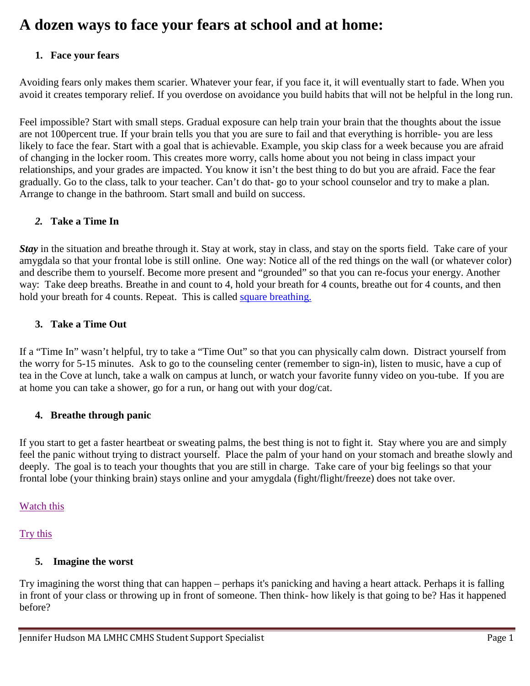# **A dozen ways to face your fears at school and at home:**

## **1. Face your fears**

Avoiding fears only makes them scarier. Whatever your fear, if you face it, it will eventually start to fade. When you avoid it creates temporary relief. If you overdose on avoidance you build habits that will not be helpful in the long run.

Feel impossible? Start with small steps. Gradual exposure can help train your brain that the thoughts about the issue are not 100percent true. If your brain tells you that you are sure to fail and that everything is horrible- you are less likely to face the fear. Start with a goal that is achievable. Example, you skip class for a week because you are afraid of changing in the locker room. This creates more worry, calls home about you not being in class impact your relationships, and your grades are impacted. You know it isn't the best thing to do but you are afraid. Face the fear gradually. Go to the class, talk to your teacher. Can't do that- go to your school counselor and try to make a plan. Arrange to change in the bathroom. Start small and build on success.

## *2.* **Take a Time In**

*Stay* in the situation and breathe through it. Stay at work, stay in class, and stay on the sports field. Take care of your amygdala so that your frontal lobe is still online. One way: Notice all of the red things on the wall (or whatever color) and describe them to yourself. Become more present and "grounded" so that you can re-focus your energy. Another way: Take deep breaths. Breathe in and count to 4, hold your breath for 4 counts, breathe out for 4 counts, and then hold your breath for 4 counts. Repeat. This is called square breathing.

## **3. Take a Time Out**

If a "Time In" wasn't helpful, try to take a "Time Out" so that you can physically calm down. Distract yourself from the worry for 5-15 minutes. Ask to go to the counseling center (remember to sign-in), listen to music, have a cup of tea in the Cove at lunch, take a walk on campus at lunch, or watch your favorite funny video on you-tube. If you are at home you can take a shower, go for a run, or hang out with your dog/cat.

## **4. Breathe through panic**

If you start to get a faster heartbeat or sweating palms, the best thing is not to fight it. Stay where you are and simply feel the panic without trying to distract yourself. Place the palm of your hand on your stomach and breathe slowly and deeply. The goal is to teach your thoughts that you are still in charge. Take care of your big feelings so that your frontal lobe (your thinking brain) stays online and your amygdala (fight/flight/freeze) does not take over.

## [Watch this](https://www.youtube.com/watch?v=Wdbbtgf05Ek)

# [Try this](https://youtu.be/RVA2N6tX2cg)

## **5. Imagine the worst**

Try imagining the worst thing that can happen – perhaps it's panicking and having a heart attack. Perhaps it is falling in front of your class or throwing up in front of someone. Then think- how likely is that going to be? Has it happened before?